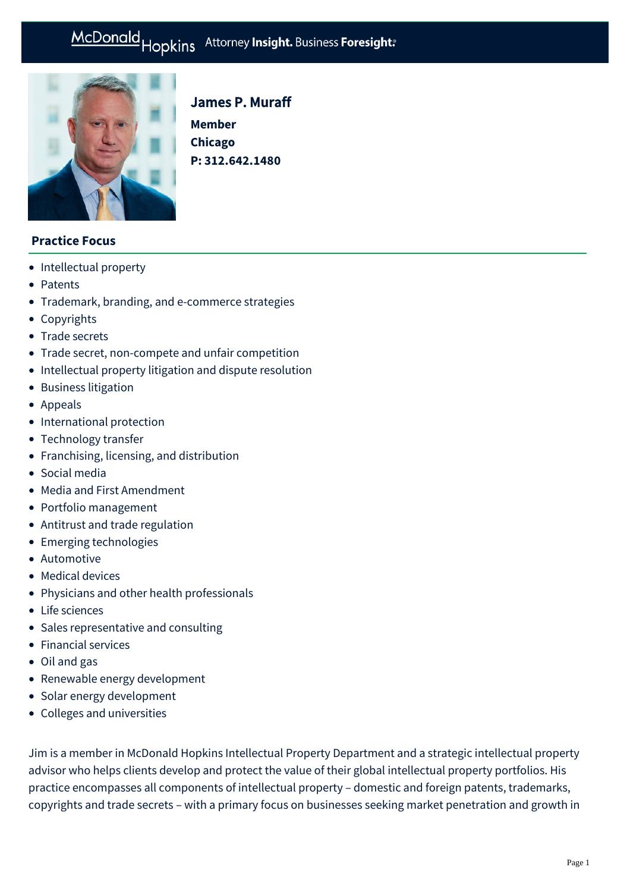# McDonald Hopkins Attorney Insight. Business Foresight:



# James P. Muraff

**Member Chicago P: [312.642.1480](tel:312.642.1480)**

## **Practice Focus**

- [Intellectual property](https://businessadvocate.mcdonaldhopkins.com/Expertise/Intellectual-property)
- [Patents](https://businessadvocate.mcdonaldhopkins.com/Expertise/Intellectual-property/Patents)
- [Trademark, branding, and e-commerce strategies](https://businessadvocate.mcdonaldhopkins.com/Expertise/Intellectual-property/trademark-branding-ecommerce-strategies)
- [Copyrights](https://businessadvocate.mcdonaldhopkins.com/Expertise/Intellectual-property/Copyrights)
- [Trade secrets](https://businessadvocate.mcdonaldhopkins.com/Expertise/Intellectual-property/Trade-secrets)
- [Trade secret, non-compete and unfair competition](https://businessadvocate.mcdonaldhopkins.com/Expertise/Litigation/Tradesecret-noncompete-unfair-competition)
- [Intellectual property litigation and dispute resolution](https://businessadvocate.mcdonaldhopkins.com/Expertise/Intellectual-property/Intellectual-property-litigation-and-dispute-resol)
- [Business litigation](https://businessadvocate.mcdonaldhopkins.com/Expertise/Litigation/Business-litigation)
- [Appeals](https://businessadvocate.mcdonaldhopkins.com/Expertise/Litigation/Appeals)
- [International protection](https://businessadvocate.mcdonaldhopkins.com/Expertise/Intellectual-property/International-protection)
- [Technology transfer](https://businessadvocate.mcdonaldhopkins.com/Expertise/Intellectual-property/Technology-transfer)
- [Franchising, licensing, and distribution](https://businessadvocate.mcdonaldhopkins.com/Expertise/Industries/Franchising-licensing-and-distribution)
- [Social media](https://businessadvocate.mcdonaldhopkins.com/Expertise/Business-counseling/Social-media)
- [Media and First Amendment](https://businessadvocate.mcdonaldhopkins.com/Expertise/Intellectual-property/Media-and-First-Amendment)
- [Portfolio management](https://businessadvocate.mcdonaldhopkins.com/Expertise/Intellectual-property/Portfolio-management)
- [Antitrust and trade regulation](https://businessadvocate.mcdonaldhopkins.com/Expertise/Intellectual-property/Antitrust-and-trade-regulation)
- [Emerging technologies](https://businessadvocate.mcdonaldhopkins.com/Expertise/Intellectual-property/Emerging-technologies)
- [Automotive](https://businessadvocate.mcdonaldhopkins.com/Expertise/Industries/Automotive)
- [Medical devices](https://businessadvocate.mcdonaldhopkins.com/Expertise/Healthcare/Medical-devices)
- [Physicians and other health professionals](https://businessadvocate.mcdonaldhopkins.com/Expertise/Healthcare/Physicians-and-other-health-professionals)
- [Life sciences](https://businessadvocate.mcdonaldhopkins.com/Expertise/Industries/Life-sciences)
- [Sales representative and consulting](https://businessadvocate.mcdonaldhopkins.com/Expertise/Litigation/Sales-representative-and-consulting)
- [Financial services](https://businessadvocate.mcdonaldhopkins.com/Expertise/Industries/Financial-services)
- [Oil and gas](https://businessadvocate.mcdonaldhopkins.com/Expertise/Energy/Oil-and-gas)
- [Renewable energy development](https://businessadvocate.mcdonaldhopkins.com/Expertise/Energy/Renewable-energy-development)
- [Solar energy development](https://businessadvocate.mcdonaldhopkins.com/Expertise/Energy/Solar-energy-development)
- [Colleges and universities](https://businessadvocate.mcdonaldhopkins.com/Expertise/Industries/Colleges-and-universities)

Jim is a member in McDonald Hopkins Intellectual Property Department and a strategic intellectual property advisor who helps clients develop and protect the value of their global intellectual property portfolios. His practice encompasses all components of intellectual property – domestic and foreign patents, trademarks, copyrights and trade secrets – with a primary focus on businesses seeking market penetration and growth in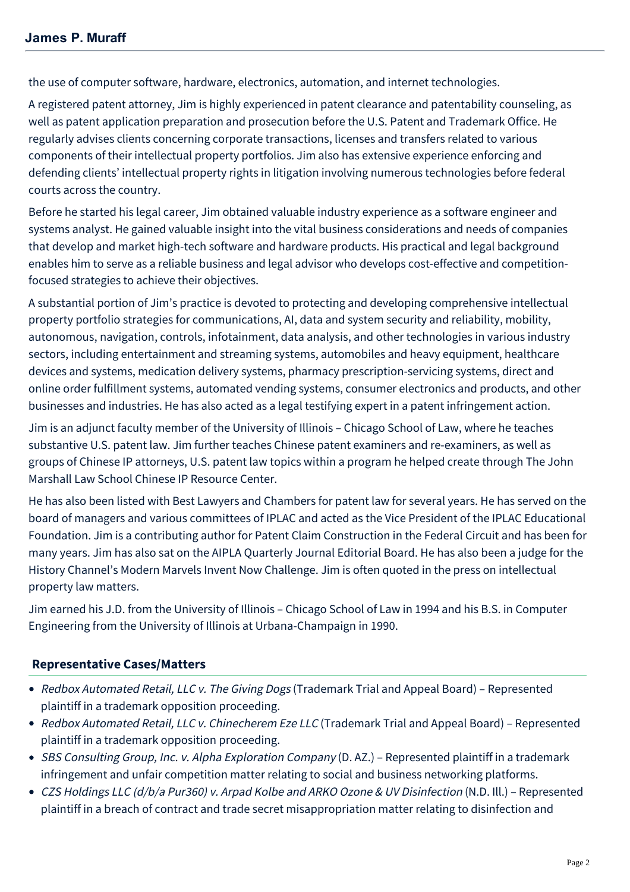the use of computer software, hardware, electronics, automation, and internet technologies.

A registered patent attorney, Jim is highly experienced in patent clearance and patentability counseling, as well as patent application preparation and prosecution before the U.S. Patent and Trademark Office. He regularly advises clients concerning corporate transactions, licenses and transfers related to various components of their intellectual property portfolios. Jim also has extensive experience enforcing and defending clients' intellectual property rights in litigation involving numerous technologies before federal courts across the country.

Before he started his legal career, Jim obtained valuable industry experience as a software engineer and systems analyst. He gained valuable insight into the vital business considerations and needs of companies that develop and market high-tech software and hardware products. His practical and legal background enables him to serve as a reliable business and legal advisor who develops cost-effective and competitionfocused strategies to achieve their objectives.

A substantial portion of Jim's practice is devoted to protecting and developing comprehensive intellectual property portfolio strategies for communications, AI, data and system security and reliability, mobility, autonomous, navigation, controls, infotainment, data analysis, and other technologies in various industry sectors, including entertainment and streaming systems, automobiles and heavy equipment, healthcare devices and systems, medication delivery systems, pharmacy prescription-servicing systems, direct and online order fulfillment systems, automated vending systems, consumer electronics and products, and other businesses and industries. He has also acted as a legal testifying expert in a patent infringement action.

Jim is an adjunct faculty member of the University of Illinois – Chicago School of Law, where he teaches substantive U.S. patent law. Jim further teaches Chinese patent examiners and re-examiners, as well as groups of Chinese IP attorneys, U.S. patent law topics within a program he helped create through The John Marshall Law School Chinese IP Resource Center.

He has also been listed with Best Lawyers and Chambers for patent law for several years. He has served on the board of managers and various committees of IPLAC and acted as the Vice President of the IPLAC Educational Foundation. Jim is a contributing author for Patent Claim Construction in the Federal Circuit and has been for many years. Jim has also sat on the AIPLA Quarterly Journal Editorial Board. He has also been a judge for the History Channel's Modern Marvels Invent Now Challenge. Jim is often quoted in the press on intellectual property law matters.

Jim earned his J.D. from the University of Illinois – Chicago School of Law in 1994 and his B.S. in Computer Engineering from the University of Illinois at Urbana-Champaign in 1990.

# **[Representative Cases/Matters](#page-1-0)**

- <span id="page-1-0"></span>• Redbox Automated Retail, LLC v. The Giving Dogs (Trademark Trial and Appeal Board) - Represented plaintiff in a trademark opposition proceeding.
- Redbox Automated Retail, LLC v. Chinecherem Eze LLC (Trademark Trial and Appeal Board) Represented plaintiff in a trademark opposition proceeding.
- SBS Consulting Group, Inc. v. Alpha Exploration Company (D. AZ.) Represented plaintiff in a trademark infringement and unfair competition matter relating to social and business networking platforms.
- CZS Holdings LLC (d/b/a Pur360) v. Arpad Kolbe and ARKO Ozone & UV Disinfection (N.D. Ill.) Represented plaintiff in a breach of contract and trade secret misappropriation matter relating to disinfection and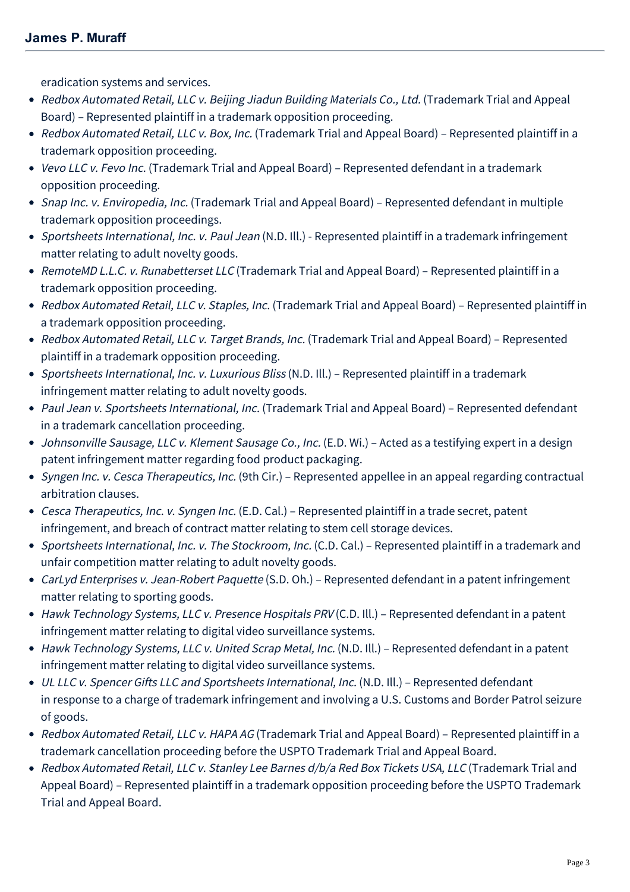eradication systems and services.

- Redbox Automated Retail, LLC v. Beijing Jiadun Building Materials Co., Ltd. (Trademark Trial and Appeal Board) – Represented plaintiff in a trademark opposition proceeding.
- Redbox Automated Retail, LLC v. Box, Inc. (Trademark Trial and Appeal Board) Represented plaintiff in a trademark opposition proceeding.
- Vevo LLC v. Fevo Inc. (Trademark Trial and Appeal Board) Represented defendant in a trademark opposition proceeding.
- Snap Inc. v. Enviropedia, Inc. (Trademark Trial and Appeal Board) Represented defendant in multiple trademark opposition proceedings.
- Sportsheets International, Inc. v. Paul Jean (N.D. Ill.) Represented plaintiff in a trademark infringement matter relating to adult novelty goods.
- RemoteMD L.L.C. v. Runabetterset LLC (Trademark Trial and Appeal Board) Represented plaintiff in a trademark opposition proceeding.
- Redbox Automated Retail, LLC v. Staples, Inc. (Trademark Trial and Appeal Board) Represented plaintiff in a trademark opposition proceeding.
- Redbox Automated Retail, LLC v. Target Brands, Inc. (Trademark Trial and Appeal Board) Represented plaintiff in a trademark opposition proceeding.
- Sportsheets International, Inc. v. Luxurious Bliss (N.D. Ill.) Represented plaintiff in a trademark infringement matter relating to adult novelty goods.
- Paul Jean v. Sportsheets International, Inc. (Trademark Trial and Appeal Board) Represented defendant in a trademark cancellation proceeding.
- Johnsonville Sausage, LLC v. Klement Sausage Co., Inc. (E.D. Wi.) Acted as a testifying expert in a design patent infringement matter regarding food product packaging.
- Syngen Inc. v. Cesca Therapeutics, Inc. (9th Cir.) Represented appellee in an appeal regarding contractual arbitration clauses.
- Cesca Therapeutics, Inc. v. Syngen Inc. (E.D. Cal.) Represented plaintiff in a trade secret, patent infringement, and breach of contract matter relating to stem cell storage devices.
- Sportsheets International, Inc. v. The Stockroom, Inc. (C.D. Cal.) Represented plaintiff in a trademark and unfair competition matter relating to adult novelty goods.
- CarLyd Enterprises v. Jean-Robert Paquette (S.D. Oh.) Represented defendant in a patent infringement matter relating to sporting goods.
- Hawk Technology Systems, LLC v. Presence Hospitals PRV (C.D. Ill.) Represented defendant in a patent infringement matter relating to digital video surveillance systems.
- Hawk Technology Systems, LLC v. United Scrap Metal, Inc. (N.D. Ill.) Represented defendant in a patent infringement matter relating to digital video surveillance systems.
- UL LLC v. Spencer Gifts LLC and Sportsheets International, Inc. (N.D. Ill.) Represented defendant in response to a charge of trademark infringement and involving a U.S. Customs and Border Patrol seizure of goods.
- Redbox Automated Retail, LLC v. HAPA AG (Trademark Trial and Appeal Board) Represented plaintiff in a trademark cancellation proceeding before the USPTO Trademark Trial and Appeal Board.
- Redbox Automated Retail, LLC v. Stanley Lee Barnes d/b/a Red Box Tickets USA, LLC (Trademark Trial and Appeal Board) – Represented plaintiff in a trademark opposition proceeding before the USPTO Trademark Trial and Appeal Board.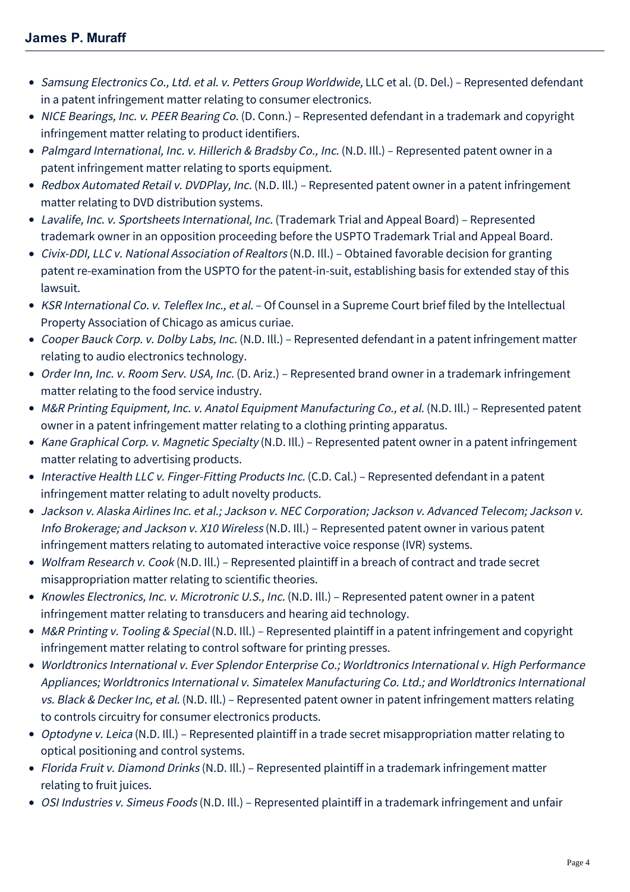- Samsung Electronics Co., Ltd. et al. v. Petters Group Worldwide, LLC et al. (D. Del.) Represented defendant in a patent infringement matter relating to consumer electronics.
- NICE Bearings, Inc. v. PEER Bearing Co. (D. Conn.) Represented defendant in a trademark and copyright infringement matter relating to product identifiers.
- Palmgard International, Inc. v. Hillerich & Bradsby Co., Inc. (N.D. Ill.) Represented patent owner in a patent infringement matter relating to sports equipment.
- Redbox Automated Retail v. DVDPlay, Inc. (N.D. Ill.) Represented patent owner in a patent infringement matter relating to DVD distribution systems.
- Lavalife, Inc. v. Sportsheets International, Inc. (Trademark Trial and Appeal Board) Represented trademark owner in an opposition proceeding before the USPTO Trademark Trial and Appeal Board.
- Civix-DDI, LLC v. National Association of Realtors (N.D. Ill.) Obtained favorable decision for granting patent re-examination from the USPTO for the patent-in-suit, establishing basis for extended stay of this lawsuit.
- KSR International Co. v. Teleflex Inc., et al. Of Counsel in a Supreme Court brief filed by the Intellectual Property Association of Chicago as amicus curiae.
- Cooper Bauck Corp. v. Dolby Labs, Inc. (N.D. Ill.) Represented defendant in a patent infringement matter relating to audio electronics technology.
- Order Inn, Inc. v. Room Serv. USA, Inc. (D. Ariz.) Represented brand owner in a trademark infringement matter relating to the food service industry.
- M&R Printing Equipment, Inc. v. Anatol Equipment Manufacturing Co., et al. (N.D. Ill.) Represented patent owner in a patent infringement matter relating to a clothing printing apparatus.
- Kane Graphical Corp. v. Magnetic Specialty (N.D. III.) Represented patent owner in a patent infringement matter relating to advertising products.
- Interactive Health LLC v. Finger-Fitting Products Inc. (C.D. Cal.) Represented defendant in a patent infringement matter relating to adult novelty products.
- Jackson v. Alaska Airlines Inc. et al.; Jackson v. NEC Corporation; Jackson v. Advanced Telecom; Jackson v. Info Brokerage; and Jackson v. X10 Wireless (N.D. Ill.) – Represented patent owner in various patent infringement matters relating to automated interactive voice response (IVR) systems.
- Wolfram Research v. Cook (N.D. III.) Represented plaintiff in a breach of contract and trade secret misappropriation matter relating to scientific theories.
- Knowles Electronics, Inc. v. Microtronic U.S., Inc. (N.D. Ill.) Represented patent owner in a patent infringement matter relating to transducers and hearing aid technology.
- M&R Printing v. Tooling & Special (N.D. Ill.) Represented plaintiff in a patent infringement and copyright infringement matter relating to control software for printing presses.
- Worldtronics International v. Ever Splendor Enterprise Co.; Worldtronics International v. High Performance Appliances; Worldtronics International v. Simatelex Manufacturing Co. Ltd.; and Worldtronics International vs. Black & Decker Inc, et al. (N.D. Ill.) - Represented patent owner in patent infringement matters relating to controls circuitry for consumer electronics products.
- Optodyne v. Leica (N.D. Ill.) Represented plaintiff in a trade secret misappropriation matter relating to optical positioning and control systems.
- Florida Fruit v. Diamond Drinks (N.D. III.) Represented plaintiff in a trademark infringement matter relating to fruit juices.
- OSI Industries v. Simeus Foods (N.D. Ill.) Represented plaintiff in a trademark infringement and unfair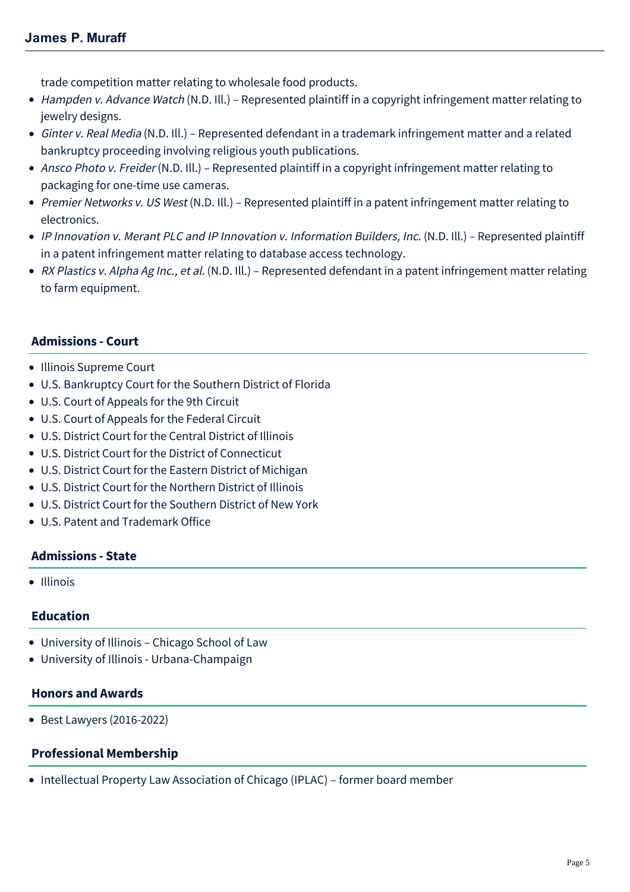trade competition matter relating to wholesale food products.

- Hampden v. Advance Watch (N.D. Ill.) Represented plaintiff in a copyright infringement matter relating to jewelry designs.
- Ginter v. Real Media (N.D. Ill.) Represented defendant in a trademark infringement matter and a related bankruptcy proceeding involving religious youth publications.
- Ansco Photo v. Freider (N.D. Ill.) Represented plaintiff in a copyright infringement matter relating to packaging for one-time use cameras.
- Premier Networks v. US West (N.D. III.) Represented plaintiff in a patent infringement matter relating to electronics.
- IP Innovation v. Merant PLC and IP Innovation v. Information Builders, Inc. (N.D. Ill.) Represented plaintiff in a patent infringement matter relating to database access technology.
- RX Plastics v. Alpha Ag Inc., et al. (N.D. Ill.) Represented defendant in a patent infringement matter relating to farm equipment.

# **Admissions - Court**

- Illinois Supreme Court
- U.S. Bankruptcy Court for the Southern District of Florida
- U.S. Court of Appeals for the 9th Circuit
- U.S. Court of Appeals for the Federal Circuit
- U.S. District Court for the Central District of Illinois
- U.S. District Court for the District of Connecticut
- U.S. District Court for the Eastern District of Michigan
- U.S. District Court for the Northern District of Illinois
- U.S. District Court for the Southern District of New York
- U.S. Patent and Trademark Office

### **Admissions - State**

• Illinois

### **Education**

- University of Illinois Chicago School of Law
- University of Illinois Urbana-Champaign

### **Honors and Awards**

Best Lawyers (2016-2022)

### **Professional Membership**

• Intellectual Property Law Association of Chicago (IPLAC) – former board member